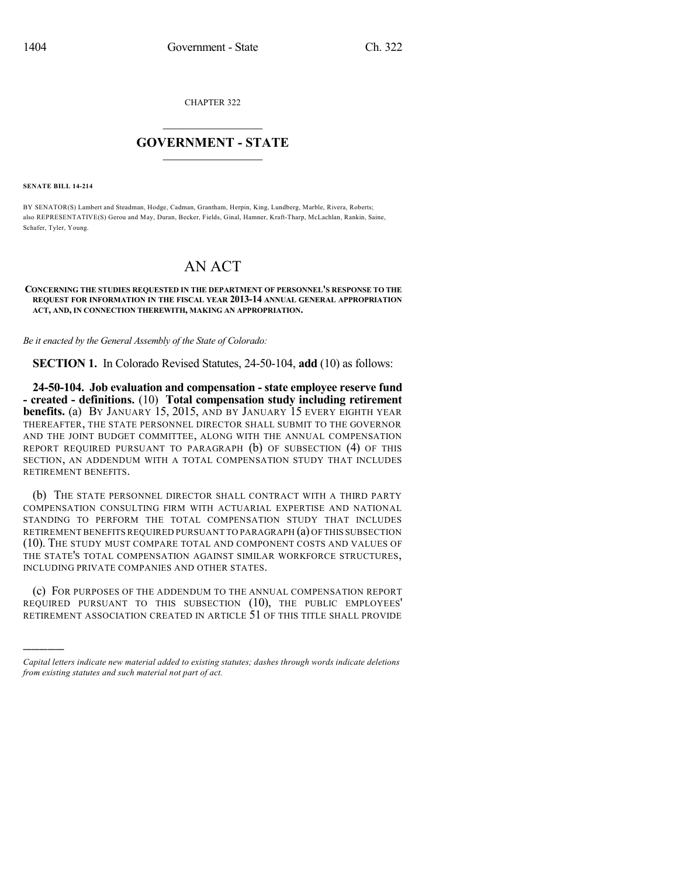CHAPTER 322

## $\mathcal{L}_\text{max}$  . The set of the set of the set of the set of the set of the set of the set of the set of the set of the set of the set of the set of the set of the set of the set of the set of the set of the set of the set **GOVERNMENT - STATE**  $\_$   $\_$

**SENATE BILL 14-214**

)))))

BY SENATOR(S) Lambert and Steadman, Hodge, Cadman, Grantham, Herpin, King, Lundberg, Marble, Rivera, Roberts; also REPRESENTATIVE(S) Gerou and May, Duran, Becker, Fields, Ginal, Hamner, Kraft-Tharp, McLachlan, Rankin, Saine, Schafer, Tyler, Young.

## AN ACT

## **CONCERNING THE STUDIES REQUESTED IN THE DEPARTMENT OF PERSONNEL'S RESPONSE TO THE REQUEST FOR INFORMATION IN THE FISCAL YEAR 2013-14 ANNUAL GENERAL APPROPRIATION ACT, AND, IN CONNECTION THEREWITH, MAKING AN APPROPRIATION.**

*Be it enacted by the General Assembly of the State of Colorado:*

**SECTION 1.** In Colorado Revised Statutes, 24-50-104, **add** (10) as follows:

**24-50-104. Job evaluation and compensation - state employee reserve fund - created - definitions.** (10) **Total compensation study including retirement benefits.** (a) By JANUARY 15, 2015, AND BY JANUARY 15 EVERY EIGHTH YEAR THEREAFTER, THE STATE PERSONNEL DIRECTOR SHALL SUBMIT TO THE GOVERNOR AND THE JOINT BUDGET COMMITTEE, ALONG WITH THE ANNUAL COMPENSATION REPORT REQUIRED PURSUANT TO PARAGRAPH (b) OF SUBSECTION (4) OF THIS SECTION, AN ADDENDUM WITH A TOTAL COMPENSATION STUDY THAT INCLUDES RETIREMENT BENEFITS.

(b) THE STATE PERSONNEL DIRECTOR SHALL CONTRACT WITH A THIRD PARTY COMPENSATION CONSULTING FIRM WITH ACTUARIAL EXPERTISE AND NATIONAL STANDING TO PERFORM THE TOTAL COMPENSATION STUDY THAT INCLUDES RETIREMENT BENEFITS REQUIRED PURSUANT TO PARAGRAPH (a) OFTHIS SUBSECTION (10). THE STUDY MUST COMPARE TOTAL AND COMPONENT COSTS AND VALUES OF THE STATE'S TOTAL COMPENSATION AGAINST SIMILAR WORKFORCE STRUCTURES, INCLUDING PRIVATE COMPANIES AND OTHER STATES.

(c) FOR PURPOSES OF THE ADDENDUM TO THE ANNUAL COMPENSATION REPORT REQUIRED PURSUANT TO THIS SUBSECTION (10), THE PUBLIC EMPLOYEES' RETIREMENT ASSOCIATION CREATED IN ARTICLE 51 OF THIS TITLE SHALL PROVIDE

*Capital letters indicate new material added to existing statutes; dashes through words indicate deletions from existing statutes and such material not part of act.*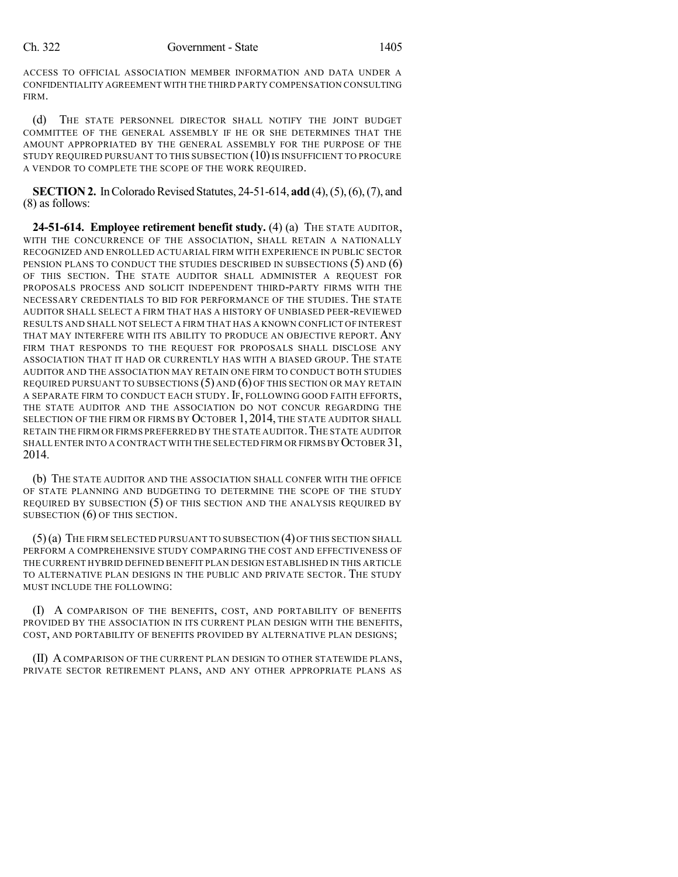ACCESS TO OFFICIAL ASSOCIATION MEMBER INFORMATION AND DATA UNDER A CONFIDENTIALITY AGREEMENT WITH THE THIRD PARTY COMPENSATION CONSULTING FIRM.

(d) THE STATE PERSONNEL DIRECTOR SHALL NOTIFY THE JOINT BUDGET COMMITTEE OF THE GENERAL ASSEMBLY IF HE OR SHE DETERMINES THAT THE AMOUNT APPROPRIATED BY THE GENERAL ASSEMBLY FOR THE PURPOSE OF THE STUDY REQUIRED PURSUANT TO THIS SUBSECTION (10) IS INSUFFICIENT TO PROCURE A VENDOR TO COMPLETE THE SCOPE OF THE WORK REQUIRED.

**SECTION 2.** In Colorado Revised Statutes, 24-51-614, **add** (4), (5), (6), (7), and (8) as follows:

**24-51-614. Employee retirement benefit study.** (4) (a) THE STATE AUDITOR, WITH THE CONCURRENCE OF THE ASSOCIATION, SHALL RETAIN A NATIONALLY RECOGNIZED AND ENROLLED ACTUARIAL FIRM WITH EXPERIENCE IN PUBLIC SECTOR PENSION PLANS TO CONDUCT THE STUDIES DESCRIBED IN SUBSECTIONS (5) AND (6) OF THIS SECTION. THE STATE AUDITOR SHALL ADMINISTER A REQUEST FOR PROPOSALS PROCESS AND SOLICIT INDEPENDENT THIRD-PARTY FIRMS WITH THE NECESSARY CREDENTIALS TO BID FOR PERFORMANCE OF THE STUDIES. THE STATE AUDITOR SHALL SELECT A FIRM THAT HAS A HISTORY OF UNBIASED PEER-REVIEWED RESULTS AND SHALL NOT SELECT A FIRM THAT HAS A KNOWN CONFLICT OF INTEREST THAT MAY INTERFERE WITH ITS ABILITY TO PRODUCE AN OBJECTIVE REPORT. ANY FIRM THAT RESPONDS TO THE REQUEST FOR PROPOSALS SHALL DISCLOSE ANY ASSOCIATION THAT IT HAD OR CURRENTLY HAS WITH A BIASED GROUP. THE STATE AUDITOR AND THE ASSOCIATION MAY RETAIN ONE FIRM TO CONDUCT BOTH STUDIES REQUIRED PURSUANT TO SUBSECTIONS  $(5)$  and  $(6)$  of this section or MAY RETAIN A SEPARATE FIRM TO CONDUCT EACH STUDY. IF, FOLLOWING GOOD FAITH EFFORTS, THE STATE AUDITOR AND THE ASSOCIATION DO NOT CONCUR REGARDING THE SELECTION OF THE FIRM OR FIRMS BY OCTOBER 1, 2014, THE STATE AUDITOR SHALL RETAIN THE FIRM OR FIRMS PREFERRED BY THE STATE AUDITOR. THE STATE AUDITOR SHALL ENTER INTO A CONTRACT WITH THE SELECTED FIRM OR FIRMSBY OCTOBER 31, 2014.

(b) THE STATE AUDITOR AND THE ASSOCIATION SHALL CONFER WITH THE OFFICE OF STATE PLANNING AND BUDGETING TO DETERMINE THE SCOPE OF THE STUDY REQUIRED BY SUBSECTION (5) OF THIS SECTION AND THE ANALYSIS REQUIRED BY SUBSECTION (6) OF THIS SECTION.

(5)(a) THE FIRM SELECTED PURSUANT TO SUBSECTION (4)OF THIS SECTION SHALL PERFORM A COMPREHENSIVE STUDY COMPARING THE COST AND EFFECTIVENESS OF THE CURRENT HYBRID DEFINED BENEFIT PLAN DESIGN ESTABLISHED IN THIS ARTICLE TO ALTERNATIVE PLAN DESIGNS IN THE PUBLIC AND PRIVATE SECTOR. THE STUDY MUST INCLUDE THE FOLLOWING:

(I) A COMPARISON OF THE BENEFITS, COST, AND PORTABILITY OF BENEFITS PROVIDED BY THE ASSOCIATION IN ITS CURRENT PLAN DESIGN WITH THE BENEFITS, COST, AND PORTABILITY OF BENEFITS PROVIDED BY ALTERNATIVE PLAN DESIGNS;

(II) ACOMPARISON OF THE CURRENT PLAN DESIGN TO OTHER STATEWIDE PLANS, PRIVATE SECTOR RETIREMENT PLANS, AND ANY OTHER APPROPRIATE PLANS AS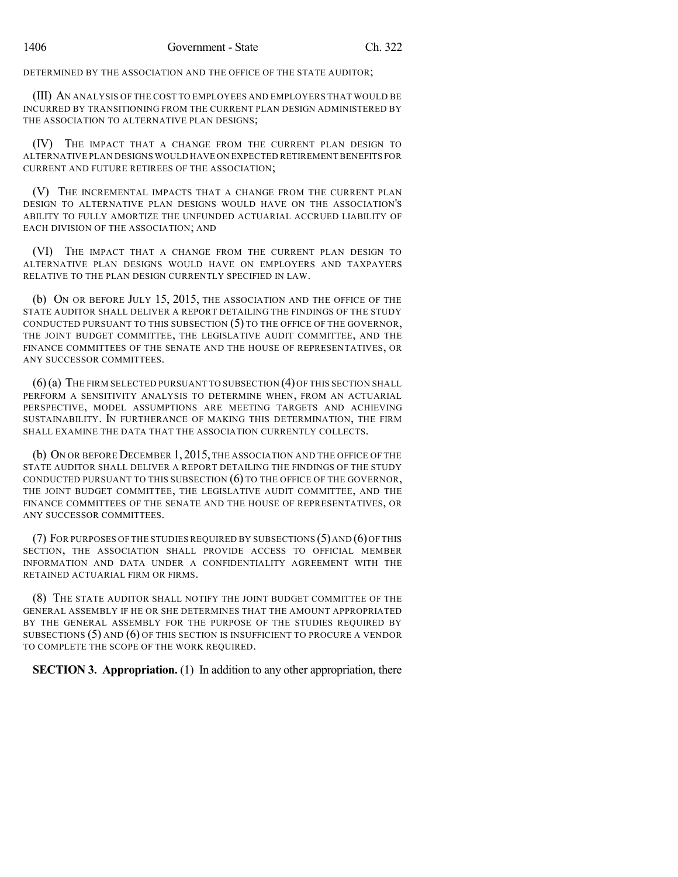DETERMINED BY THE ASSOCIATION AND THE OFFICE OF THE STATE AUDITOR;

(III) AN ANALYSIS OF THE COST TO EMPLOYEES AND EMPLOYERS THAT WOULD BE INCURRED BY TRANSITIONING FROM THE CURRENT PLAN DESIGN ADMINISTERED BY THE ASSOCIATION TO ALTERNATIVE PLAN DESIGNS;

(IV) THE IMPACT THAT A CHANGE FROM THE CURRENT PLAN DESIGN TO ALTERNATIVE PLAN DESIGNS WOULD HAVE ON EXPECTED RETIREMENTBENEFITS FOR CURRENT AND FUTURE RETIREES OF THE ASSOCIATION;

(V) THE INCREMENTAL IMPACTS THAT A CHANGE FROM THE CURRENT PLAN DESIGN TO ALTERNATIVE PLAN DESIGNS WOULD HAVE ON THE ASSOCIATION'S ABILITY TO FULLY AMORTIZE THE UNFUNDED ACTUARIAL ACCRUED LIABILITY OF EACH DIVISION OF THE ASSOCIATION; AND

(VI) THE IMPACT THAT A CHANGE FROM THE CURRENT PLAN DESIGN TO ALTERNATIVE PLAN DESIGNS WOULD HAVE ON EMPLOYERS AND TAXPAYERS RELATIVE TO THE PLAN DESIGN CURRENTLY SPECIFIED IN LAW.

(b) ON OR BEFORE JULY 15, 2015, THE ASSOCIATION AND THE OFFICE OF THE STATE AUDITOR SHALL DELIVER A REPORT DETAILING THE FINDINGS OF THE STUDY CONDUCTED PURSUANT TO THIS SUBSECTION (5) TO THE OFFICE OF THE GOVERNOR, THE JOINT BUDGET COMMITTEE, THE LEGISLATIVE AUDIT COMMITTEE, AND THE FINANCE COMMITTEES OF THE SENATE AND THE HOUSE OF REPRESENTATIVES, OR ANY SUCCESSOR COMMITTEES.

(6)(a) THE FIRM SELECTED PURSUANT TO SUBSECTION (4)OF THIS SECTION SHALL PERFORM A SENSITIVITY ANALYSIS TO DETERMINE WHEN, FROM AN ACTUARIAL PERSPECTIVE, MODEL ASSUMPTIONS ARE MEETING TARGETS AND ACHIEVING SUSTAINABILITY. IN FURTHERANCE OF MAKING THIS DETERMINATION, THE FIRM SHALL EXAMINE THE DATA THAT THE ASSOCIATION CURRENTLY COLLECTS.

(b) ON OR BEFORE DECEMBER 1, 2015, THE ASSOCIATION AND THE OFFICE OF THE STATE AUDITOR SHALL DELIVER A REPORT DETAILING THE FINDINGS OF THE STUDY CONDUCTED PURSUANT TO THIS SUBSECTION  $(6)$  TO THE OFFICE OF THE GOVERNOR, THE JOINT BUDGET COMMITTEE, THE LEGISLATIVE AUDIT COMMITTEE, AND THE FINANCE COMMITTEES OF THE SENATE AND THE HOUSE OF REPRESENTATIVES, OR ANY SUCCESSOR COMMITTEES.

(7) FOR PURPOSES OF THE STUDIES REQUIRED BY SUBSECTIONS  $(5)$  and  $(6)$  Of this SECTION, THE ASSOCIATION SHALL PROVIDE ACCESS TO OFFICIAL MEMBER INFORMATION AND DATA UNDER A CONFIDENTIALITY AGREEMENT WITH THE RETAINED ACTUARIAL FIRM OR FIRMS.

(8) THE STATE AUDITOR SHALL NOTIFY THE JOINT BUDGET COMMITTEE OF THE GENERAL ASSEMBLY IF HE OR SHE DETERMINES THAT THE AMOUNT APPROPRIATED BY THE GENERAL ASSEMBLY FOR THE PURPOSE OF THE STUDIES REQUIRED BY SUBSECTIONS (5) AND (6) OF THIS SECTION IS INSUFFICIENT TO PROCURE A VENDOR TO COMPLETE THE SCOPE OF THE WORK REQUIRED.

**SECTION 3. Appropriation.** (1) In addition to any other appropriation, there